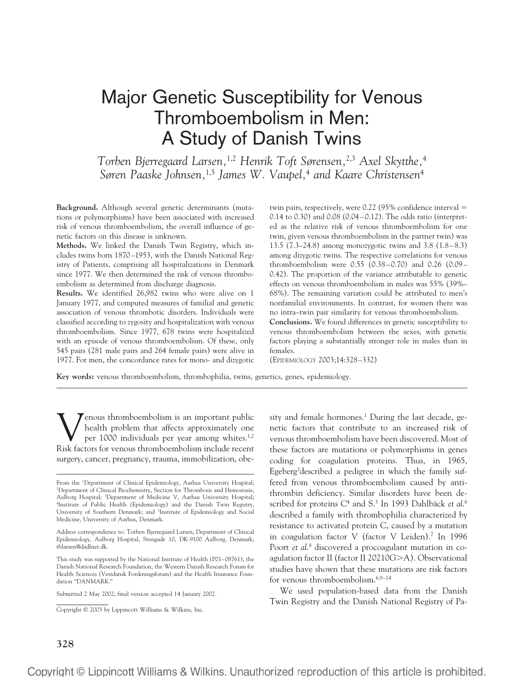# Major Genetic Susceptibility for Venous Thromboembolism in Men: A Study of Danish Twins

*Torben Bjerregaard Larsen,*1,2 *Henrik Toft Sørensen,*2,3 *Axel Skytthe,*<sup>4</sup> *Søren Paaske Johnsen,*1,5 *James W. Vaupel,*<sup>4</sup> *and Kaare Christensen*<sup>4</sup>

**Background.** Although several genetic determinants (mutations or polymorphisms) have been associated with increased risk of venous thromboembolism, the overall influence of genetic factors on this disease is unknown.

**Methods.** We linked the Danish Twin Registry, which includes twins born 1870–1953, with the Danish National Registry of Patients, comprising all hospitalizations in Denmark since 1977. We then determined the risk of venous thromboembolism as determined from discharge diagnosis.

**Results.** We identified 26,982 twins who were alive on 1 January 1977, and computed measures of familial and genetic association of venous thrombotic disorders. Individuals were classified according to zygosity and hospitalization with venous thromboembolism. Since 1977, 678 twins were hospitalized with an episode of venous thromboembolism. Of these, only 545 pairs (281 male pairs and 264 female pairs) were alive in 1977. For men, the concordance rates for mono- and dizygotic twin pairs, respectively, were  $0.22$  (95% confidence interval  $=$ 0.14 to 0.30) and 0.08 (0.04–0.12). The odds ratio (interpreted as the relative risk of venous thromboembolism for one twin, given venous thromboembolism in the partner twin) was 13.5 (7.3–24.8) among monozygotic twins and 3.8 (1.8–8.3) among dizygotic twins. The respective correlations for venous thromboembolism were 0.55 (0.38–0.70) and 0.26 (0.09– 0.42). The proportion of the variance attributable to genetic effects on venous thromboembolism in males was 55% (39%– 68%). The remaining variation could be attributed to men's nonfamilial environments. In contrast, for women there was no intra–twin pair similarity for venous thromboembolism.

**Conclusions.** We found differences in genetic susceptibility to venous thromboembolism between the sexes, with genetic factors playing a substantially stronger role in males than in females.

(EPIDEMIOLOGY 2003;14:328–332)

**Key words:** venous thromboembolism, thrombophilia, twins, genetics, genes, epidemiology.

Venous thromboembolism is an important public<br>health problem that affects approximately one<br>per 1000 individuals per year among whites.<sup>1,2</sup><br>Risk factors for venous thromboembolism include recent health problem that affects approximately one per 1000 individuals per year among whites.<sup>1,2</sup> Risk factors for venous thromboembolism include recent surgery, cancer, pregnancy, trauma, immobilization, obe-

sity and female hormones.<sup>1</sup> During the last decade, genetic factors that contribute to an increased risk of venous thromboembolism have been discovered. Most of these factors are mutations or polymorphisms in genes coding for coagulation proteins. Thus, in 1965, Egeberg<sup>3</sup>described a pedigree in which the family suffered from venous thromboembolism caused by antithrombin deficiency. Similar disorders have been described for proteins C<sup>4</sup> and S.<sup>5</sup> In 1993 Dahlbäck *et al.*<sup>6</sup> described a family with thrombophilia characterized by resistance to activated protein C, caused by a mutation in coagulation factor V (factor V Leiden).7 In 1996 Poort *et al.*<sup>8</sup> discovered a procoagulant mutation in coagulation factor II (factor II 20210G-A). Observational studies have shown that these mutations are risk factors for venous thromboembolism.6,9–14

We used population-based data from the Danish Twin Registry and the Danish National Registry of Pa-

From the <sup>1</sup>Department of Clinical Epidemiology, Aarhus University Hospital; 2 Department of Clinical Biochemistry, Section for Thrombosis and Hemostasis, Aalborg Hospital; <sup>3</sup> Department of Medicine V, Aarhus University Hospital; 4 Institute of Public Health (Epidemiology) and the Danish Twin Registry, University of Southern Denmark; and <sup>5</sup>Institute of Epidemiology and Social Medicine, University of Aarhus, Denmark.

Address correspondence to: Torben Bjerregaard Larsen, Department of Clinical Epidemiology, Aalborg Hospital, Stengade 10, DK-9100 Aalborg, Denmark; tblarsen@dadlnet.dk.

This study was supported by the National Institute of Health (P01–08761), the Danish National Research Foundation, the Western Danish Research Forum for Health Sciences (Vestdansk Forskningsforum) and the Health Insurance Foundation "DANMARK."

Submitted 2 May 2002; final version accepted 14 January 2002.

Copyright © 2003 by Lippincott Williams & Wilkins, Inc.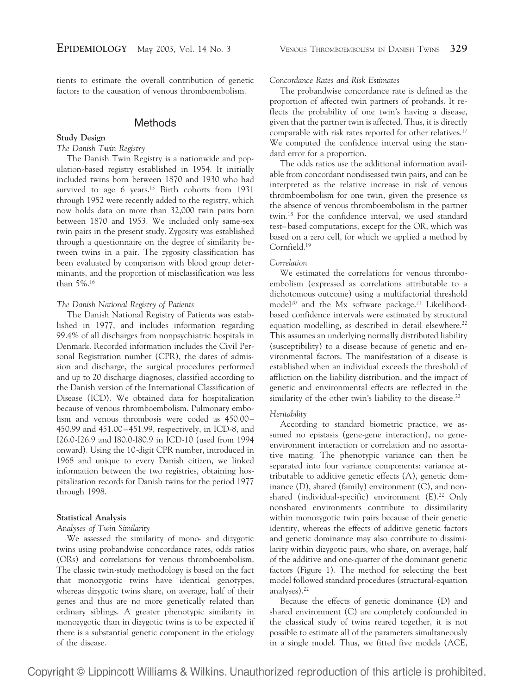tients to estimate the overall contribution of genetic factors to the causation of venous thromboembolism.

## **Methods**

#### **Study Design**

#### *The Danish Twin Registry*

The Danish Twin Registry is a nationwide and population-based registry established in 1954. It initially included twins born between 1870 and 1930 who had survived to age 6 years.<sup>15</sup> Birth cohorts from 1931 through 1952 were recently added to the registry, which now holds data on more than 32,000 twin pairs born between 1870 and 1953. We included only same-sex twin pairs in the present study. Zygosity was established through a questionnaire on the degree of similarity between twins in a pair. The zygosity classification has been evaluated by comparison with blood group determinants, and the proportion of misclassification was less than 5%.16

#### *The Danish National Registry of Patients*

The Danish National Registry of Patients was established in 1977, and includes information regarding 99.4% of all discharges from nonpsychiatric hospitals in Denmark. Recorded information includes the Civil Personal Registration number (CPR), the dates of admission and discharge, the surgical procedures performed and up to 20 discharge diagnoses, classified according to the Danish version of the International Classification of Disease (ICD). We obtained data for hospitalization because of venous thromboembolism. Pulmonary embolism and venous thrombosis were coded as 450.00– 450.99 and 451.00–451.99, respectively, in ICD-8, and I26.0-I26.9 and I80.0-I80.9 in ICD-10 (used from 1994 onward). Using the 10-digit CPR number, introduced in 1968 and unique to every Danish citizen, we linked information between the two registries, obtaining hospitalization records for Danish twins for the period 1977 through 1998.

#### **Statistical Analysis**

#### *Analyses of Twin Similarity*

We assessed the similarity of mono- and dizygotic twins using probandwise concordance rates, odds ratios (ORs) and correlations for venous thromboembolism. The classic twin-study methodology is based on the fact that monozygotic twins have identical genotypes, whereas dizygotic twins share, on average, half of their genes and thus are no more genetically related than ordinary siblings. A greater phenotypic similarity in monozygotic than in dizygotic twins is to be expected if there is a substantial genetic component in the etiology of the disease.

*Concordance Rates and Risk Estimates*

The probandwise concordance rate is defined as the proportion of affected twin partners of probands. It reflects the probability of one twin's having a disease, given that the partner twin is affected. Thus, it is directly comparable with risk rates reported for other relatives.<sup>17</sup> We computed the confidence interval using the standard error for a proportion.

The odds ratios use the additional information available from concordant nondiseased twin pairs, and can be interpreted as the relative increase in risk of venous thromboembolism for one twin, given the presence *vs* the absence of venous thromboembolism in the partner twin.18 For the confidence interval, we used standard test–based computations, except for the OR, which was based on a zero cell, for which we applied a method by Cornfield.19

#### *Correlation*

We estimated the correlations for venous thromboembolism (expressed as correlations attributable to a dichotomous outcome) using a multifactorial threshold model<sup>20</sup> and the Mx software package.<sup>21</sup> Likelihoodbased confidence intervals were estimated by structural equation modelling, as described in detail elsewhere.<sup>22</sup> This assumes an underlying normally distributed liability (susceptibility) to a disease because of genetic and environmental factors. The manifestation of a disease is established when an individual exceeds the threshold of affliction on the liability distribution, and the impact of genetic and environmental effects are reflected in the similarity of the other twin's liability to the disease.<sup>22</sup>

#### *Heritability*

According to standard biometric practice, we assumed no epistasis (gene-gene interaction), no geneenvironment interaction or correlation and no assortative mating. The phenotypic variance can then be separated into four variance components: variance attributable to additive genetic effects (A), genetic dominance (D), shared (family) environment (C), and nonshared (individual-specific) environment (E).<sup>22</sup> Only nonshared environments contribute to dissimilarity within monozygotic twin pairs because of their genetic identity, whereas the effects of additive genetic factors and genetic dominance may also contribute to dissimilarity within dizygotic pairs, who share, on average, half of the additive and one-quarter of the dominant genetic factors (Figure 1). The method for selecting the best model followed standard procedures (structural-equation analyses).22

Because the effects of genetic dominance (D) and shared environment (C) are completely confounded in the classical study of twins reared together, it is not possible to estimate all of the parameters simultaneously in a single model. Thus, we fitted five models (ACE,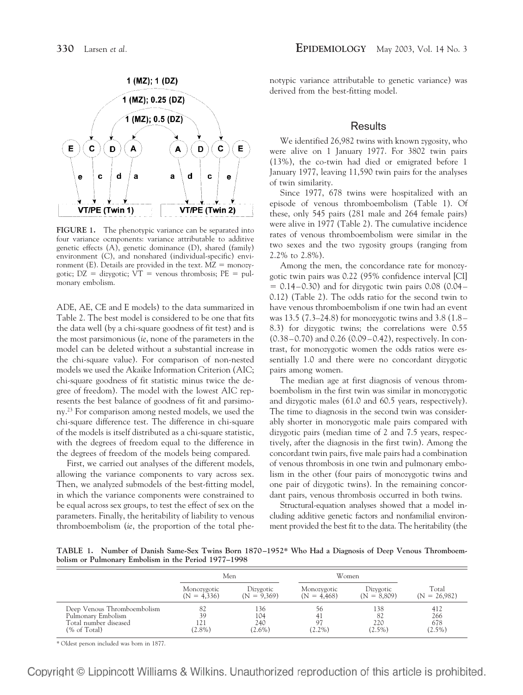

**FIGURE 1.** The phenotypic variance can be separated into four variance ocmponents: variance attributable to additive genetic effects (A), genetic dominance (D), shared (family) environment (C), and nonshared (individual-specific) environment (E). Details are provided in the text.  $MZ = monozy$ gotic;  $DZ = \text{disygotic}$ ;  $VT = \text{venous rhrombosis}$ ;  $PE = \text{pul}$ monary embolism.

ADE, AE, CE and E models) to the data summarized in Table 2. The best model is considered to be one that fits the data well (by a chi-square goodness of fit test) and is the most parsimonious (*ie*, none of the parameters in the model can be deleted without a substantial increase in the chi-square value). For comparison of non-nested models we used the Akaike Information Criterion (AIC; chi-square goodness of fit statistic minus twice the degree of freedom). The model with the lowest AIC represents the best balance of goodness of fit and parsimony.23 For comparison among nested models, we used the chi-square difference test. The difference in chi-square of the models is itself distributed as a chi-square statistic, with the degrees of freedom equal to the difference in the degrees of freedom of the models being compared.

First, we carried out analyses of the different models, allowing the variance components to vary across sex. Then, we analyzed submodels of the best-fitting model, in which the variance components were constrained to be equal across sex groups, to test the effect of sex on the parameters. Finally, the heritability of liability to venous thromboembolism (*ie*, the proportion of the total phenotypic variance attributable to genetic variance) was derived from the best-fitting model.

## **Results**

We identified 26,982 twins with known zygosity, who were alive on 1 January 1977. For 3802 twin pairs (13%), the co-twin had died or emigrated before 1 January 1977, leaving 11,590 twin pairs for the analyses of twin similarity.

Since 1977, 678 twins were hospitalized with an episode of venous thromboembolism (Table 1). Of these, only 545 pairs (281 male and 264 female pairs) were alive in 1977 (Table 2). The cumulative incidence rates of venous thromboembolism were similar in the two sexes and the two zygosity groups (ranging from 2.2% to 2.8%).

Among the men, the concordance rate for monozygotic twin pairs was 0.22 (95% confidence interval [CI]  $= 0.14 - 0.30$ ) and for dizygotic twin pairs 0.08 (0.04– 0.12) (Table 2). The odds ratio for the second twin to have venous thromboembolism if one twin had an event was 13.5 (7.3–24.8) for monozygotic twins and 3.8 (1.8– 8.3) for dizygotic twins; the correlations were 0.55 (0.38–0.70) and 0.26 (0.09–0.42), respectively. In contrast, for monozygotic women the odds ratios were essentially 1.0 and there were no concordant dizygotic pairs among women.

The median age at first diagnosis of venous thromboembolism in the first twin was similar in monozygotic and dizygotic males (61.0 and 60.5 years, respectively). The time to diagnosis in the second twin was considerably shorter in monozygotic male pairs compared with dizygotic pairs (median time of 2 and 7.5 years, respectively, after the diagnosis in the first twin). Among the concordant twin pairs, five male pairs had a combination of venous thrombosis in one twin and pulmonary embolism in the other (four pairs of monozygotic twins and one pair of dizygotic twins). In the remaining concordant pairs, venous thrombosis occurred in both twins.

Structural-equation analyses showed that a model including additive genetic factors and nonfamilial environment provided the best fit to the data. The heritability (the

**TABLE 1. Number of Danish Same-Sex Twins Born 1870–1952\* Who Had a Diagnosis of Deep Venous Thromboembolism or Pulmonary Embolism in the Period 1977–1998**

|                                                                                            | Men                           |                                | Women                        |                               |                                |  |
|--------------------------------------------------------------------------------------------|-------------------------------|--------------------------------|------------------------------|-------------------------------|--------------------------------|--|
|                                                                                            | Monozygotic<br>$(N = 4,336)$  | Dizygotic<br>$(N = 9,369)$     | Monozygotic<br>$(N = 4,468)$ | Dizygotic<br>( $N = 8,809$ )  | Total<br>$(N = 26,982)$        |  |
| Deep Venous Thromboembolism<br>Pulmonary Embolism<br>Total number diseased<br>(% of Total) | -82<br>39<br>121<br>$(2.8\%)$ | 136<br>104<br>240<br>$(2.6\%)$ | ንስ<br>41<br>97<br>$(2.2\%)$  | 138<br>82<br>220<br>$(2.5\%)$ | 412<br>266<br>678<br>$(2.5\%)$ |  |

\* Oldest person included was born in 1877.

Copyright © Lippincott Williams & Wilkins. Unauthorized reproduction of this article is prohibited.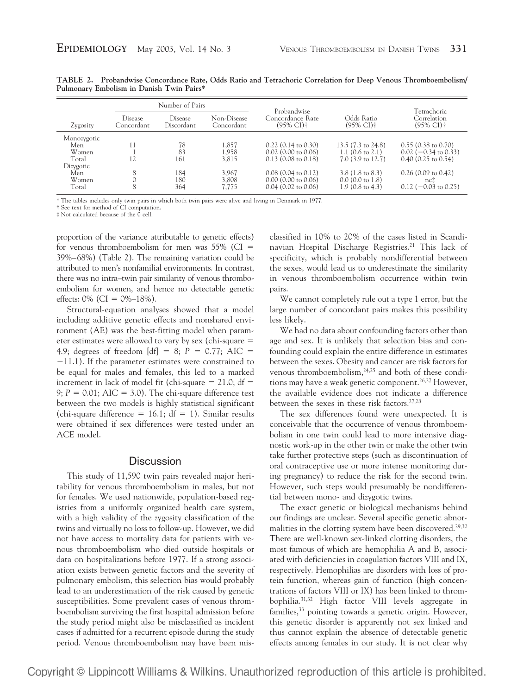|             | Number of Pairs       |                              |                           | Probandwise                               |                                     | Tetrachoric                               |
|-------------|-----------------------|------------------------------|---------------------------|-------------------------------------------|-------------------------------------|-------------------------------------------|
| Zygosity    | Disease<br>Concordant | <b>Disease</b><br>Discordant | Non-Disease<br>Concordant | Concordance Rate<br>$(95\% \text{ Cl})$ † | Odds Ratio<br>$(95\% \text{ Cl})$ † | Correlation<br>$(95\% \text{ CI})\dagger$ |
| Monozygotic |                       |                              |                           |                                           |                                     |                                           |
| Men         |                       | 78                           | 1,857                     | $0.22$ (0.14 to 0.30)                     | $13.5(7.3 \text{ to } 24.8)$        | $0.55$ (0.38 to 0.70)                     |
| Women       |                       | 83                           | 1,958                     | $0.02$ (0.00 to 0.06)                     | 1.1 $(0.6 \text{ to } 2.1)$         | $0.02$ (-0.34 to 0.33)                    |
| Total       |                       | 161                          | 3.815                     | $0.13$ (0.08 to 0.18)                     | $7.0$ $(3.9 \text{ to } 12.7)$      | $0.40$ $(0.25$ to $0.54)$                 |
| Dizygotic   |                       |                              |                           |                                           |                                     |                                           |
| Men         | 8                     | 184                          | 3,967                     | $0.08$ (0.04 to 0.12)                     | $3.8(1.8 \text{ to } 8.3)$          | $0.26$ (0.09 to 0.42)                     |
| Women       |                       | 180                          | 3,808                     | $0.00$ (0.00 to 0.06)                     | $0.0$ (0.0 to 1.8)                  | $nc$ ‡                                    |
| Total       | 8                     | 364                          | 7,775                     | $0.04$ (0.02 to 0.06)                     | $1.9(0.8 \text{ to } 4.3)$          | $0.12$ (-0.03 to 0.25)                    |

**TABLE 2. Probandwise Concordance Rate, Odds Ratio and Tetrachoric Correlation for Deep Venous Thromboembolism/ Pulmonary Embolism in Danish Twin Pairs\***

\* The tables includes only twin pairs in which both twin pairs were alive and living in Denmark in 1977.

† See text for method of CI computation.

‡ Not calculated because of the 0 cell.

proportion of the variance attributable to genetic effects) for venous thromboembolism for men was  $55\%$  (CI = 39%–68%) (Table 2). The remaining variation could be attributed to men's nonfamilial environments. In contrast, there was no intra–twin pair similarity of venous thromboembolism for women, and hence no detectable genetic effects:  $0\%$  (CI =  $0\%$ -18%).

Structural-equation analyses showed that a model including additive genetic effects and nonshared environment (AE) was the best-fitting model when parameter estimates were allowed to vary by sex (chi-square 4.9; degrees of freedom  $[df] = 8$ ;  $P = 0.77$ ; AIC =  $-11.1$ ). If the parameter estimates were constrained to be equal for males and females, this led to a marked increment in lack of model fit (chi-square  $= 21.0$ ; df  $=$ 9;  $P = 0.01$ ; AIC = 3.0). The chi-square difference test between the two models is highly statistical significant (chi-square difference  $= 16.1$ ; df  $= 1$ ). Similar results were obtained if sex differences were tested under an ACE model.

## **Discussion**

This study of 11,590 twin pairs revealed major heritability for venous thromboembolism in males, but not for females. We used nationwide, population-based registries from a uniformly organized health care system, with a high validity of the zygosity classification of the twins and virtually no loss to follow-up. However, we did not have access to mortality data for patients with venous thromboembolism who died outside hospitals or data on hospitalizations before 1977. If a strong association exists between genetic factors and the severity of pulmonary embolism, this selection bias would probably lead to an underestimation of the risk caused by genetic susceptibilities. Some prevalent cases of venous thromboembolism surviving the first hospital admission before the study period might also be misclassified as incident cases if admitted for a recurrent episode during the study period. Venous thromboembolism may have been mis-

classified in 10% to 20% of the cases listed in Scandinavian Hospital Discharge Registries.<sup>21</sup> This lack of specificity, which is probably nondifferential between the sexes, would lead us to underestimate the similarity in venous thromboembolism occurrence within twin pairs.

We cannot completely rule out a type 1 error, but the large number of concordant pairs makes this possibility less likely.

We had no data about confounding factors other than age and sex. It is unlikely that selection bias and confounding could explain the entire difference in estimates between the sexes. Obesity and cancer are risk factors for venous thromboembolism,<sup>24,25</sup> and both of these conditions may have a weak genetic component.<sup>26,27</sup> However, the available evidence does not indicate a difference between the sexes in these risk factors.<sup>27,28</sup>

The sex differences found were unexpected. It is conceivable that the occurrence of venous thromboembolism in one twin could lead to more intensive diagnostic work-up in the other twin or make the other twin take further protective steps (such as discontinuation of oral contraceptive use or more intense monitoring during pregnancy) to reduce the risk for the second twin. However, such steps would presumably be nondifferential between mono- and dizygotic twins.

The exact genetic or biological mechanisms behind our findings are unclear. Several specific genetic abnormalities in the clotting system have been discovered.<sup>29,30</sup> There are well-known sex-linked clotting disorders, the most famous of which are hemophilia A and B, associated with deficiencies in coagulation factors VIII and IX, respectively. Hemophilias are disorders with loss of protein function, whereas gain of function (high concentrations of factors VIII or IX) has been linked to thrombophilia.31,32 High factor VIII levels aggregate in families,<sup>33</sup> pointing towards a genetic origin. However, this genetic disorder is apparently not sex linked and thus cannot explain the absence of detectable genetic effects among females in our study. It is not clear why